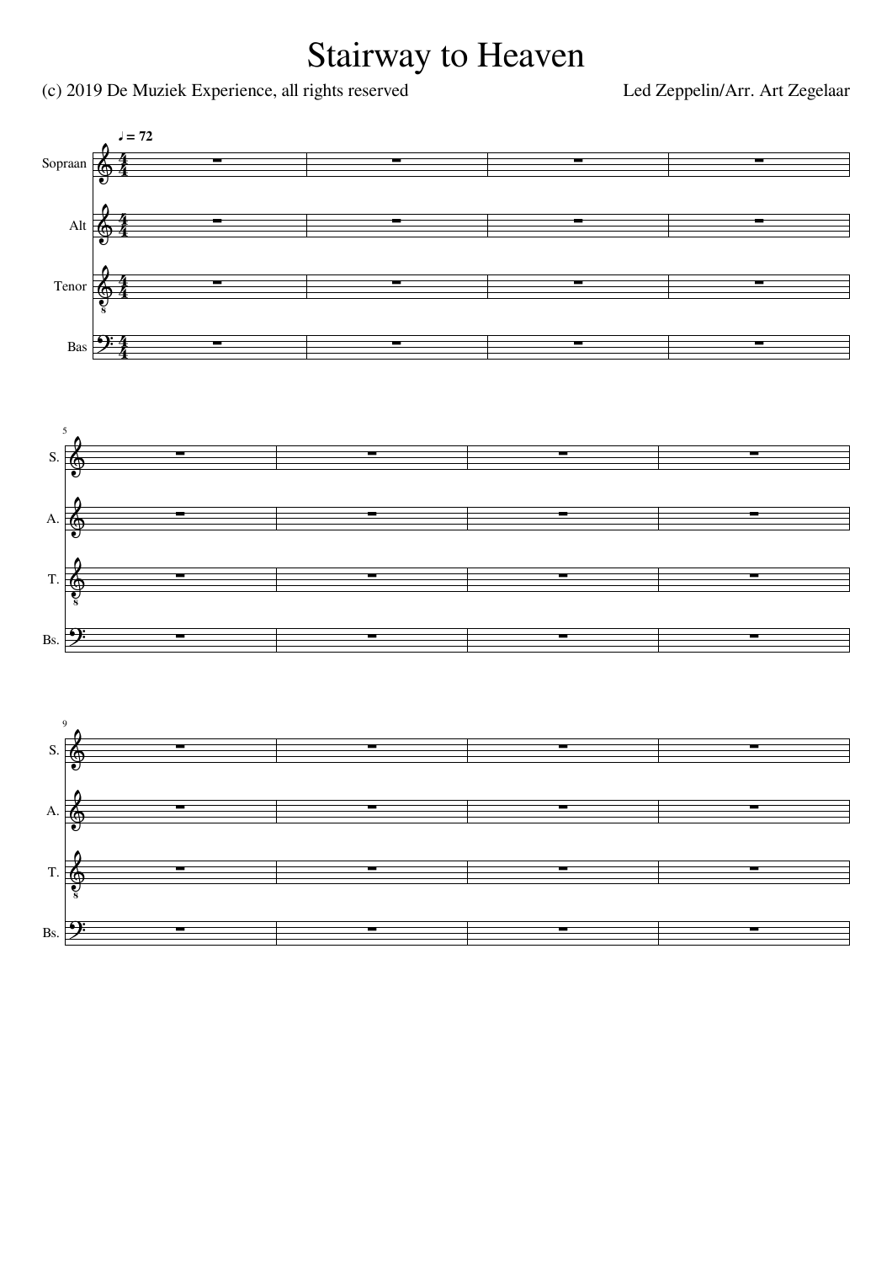## Stairway to Heaven

(c) 2019 De Muziek Experience, all rights reserved

Led Zeppelin/Arr. Art Zegelaar

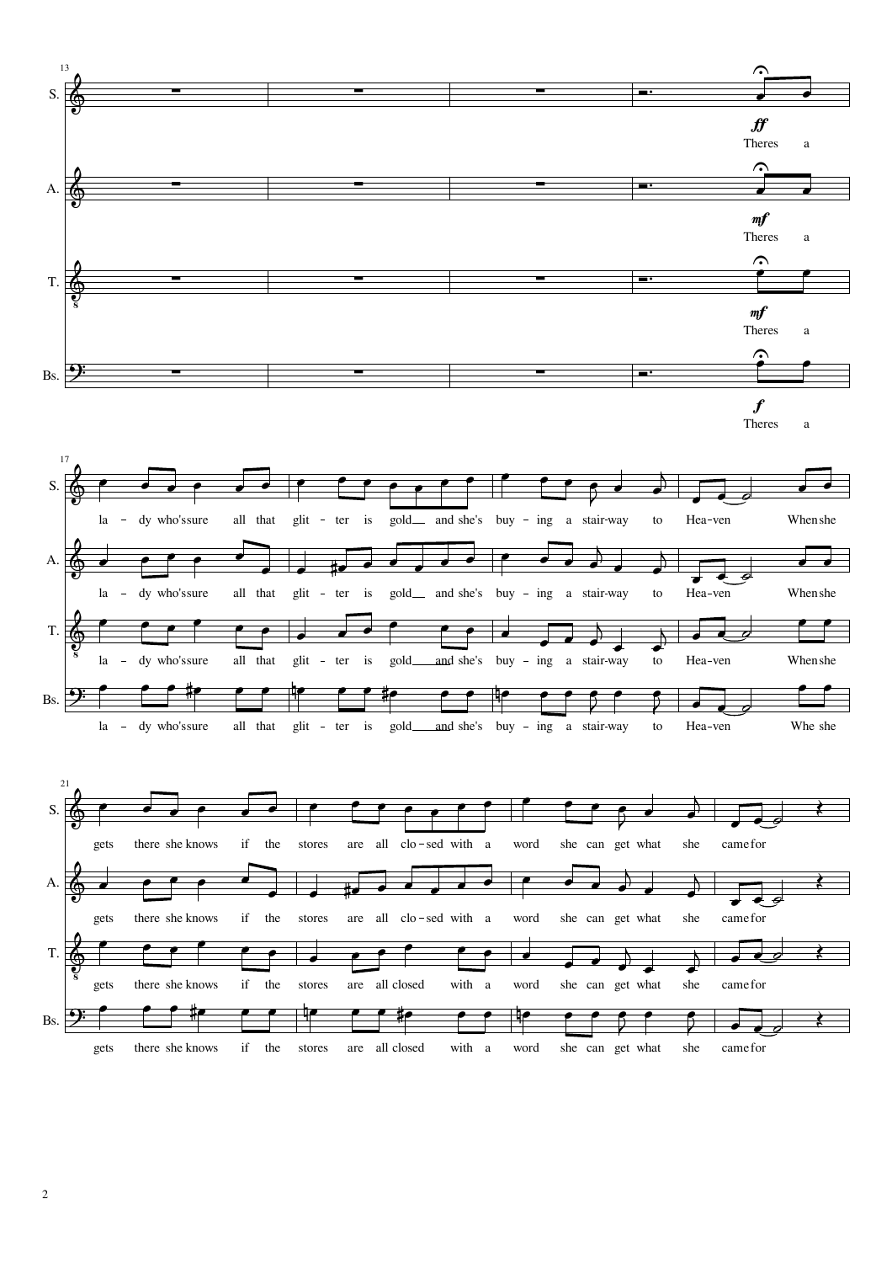

2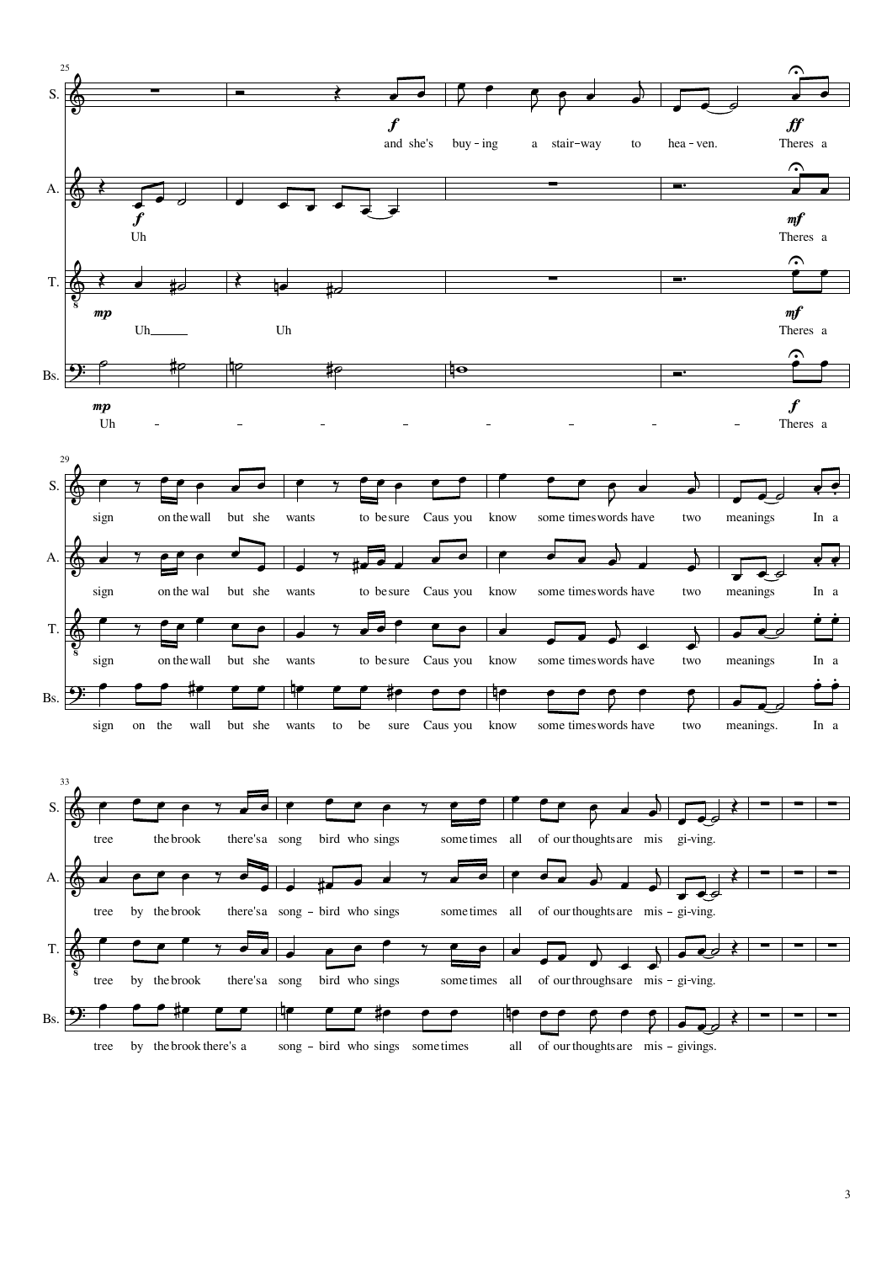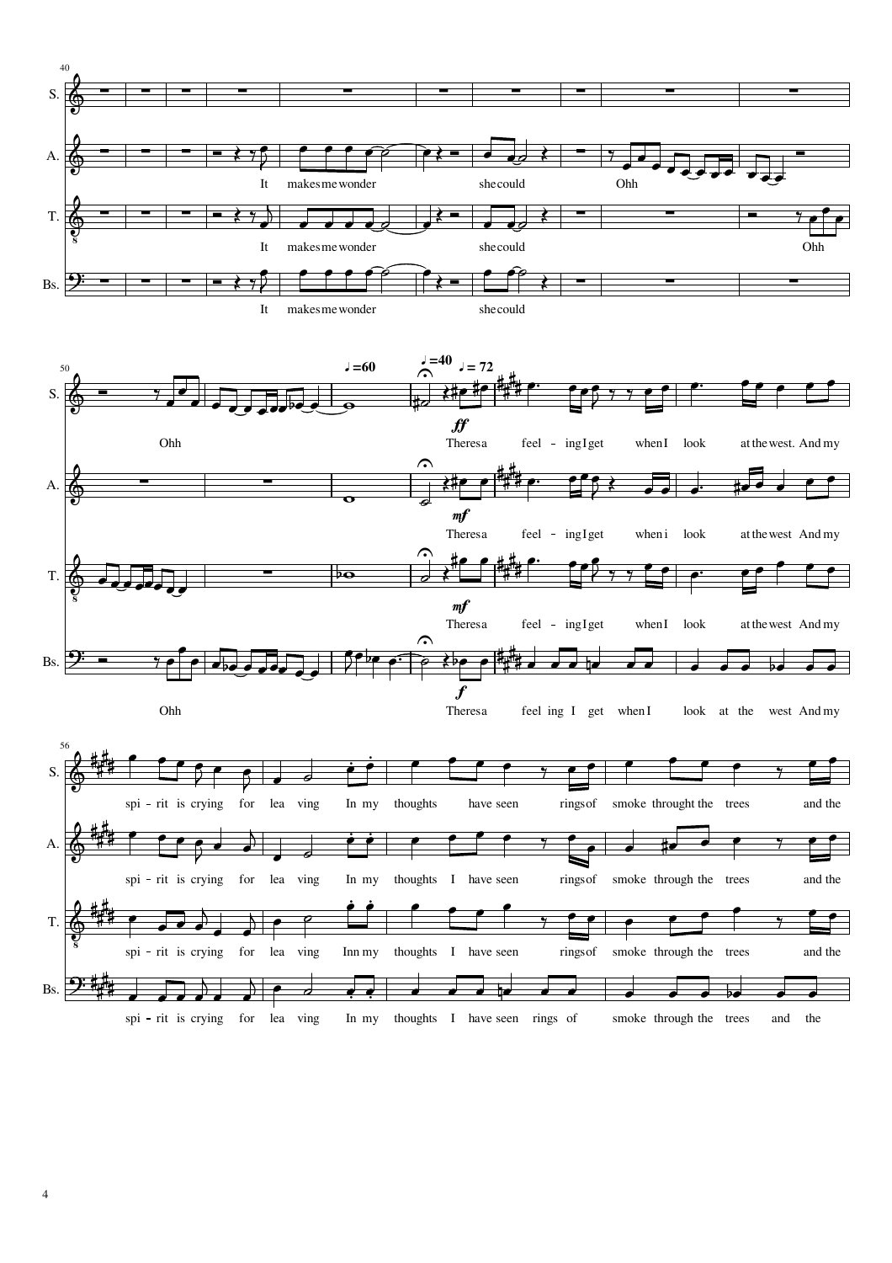



 $\overline{\phantom{a}}$ 

 $\sim$   $\sim$   $\sim$   $\sim$   $\sim$ 

 $\frac{1}{2}$ 

 $\frac{1}{\sqrt{2}}$ 

 $\begin{array}{ccc} \hline \hline \end{array}$ 

spi - rit is crying for lea ving In my

 $\overrightarrow{a}$ 

 $\bullet$  d

 $\overline{\phantom{a}}$ 

 $\overrightarrow{a}$  is a set of  $\overrightarrow{a}$  is a set of  $\overrightarrow{a}$ 

I have seen rings of smoke through the trees and the

 $Bs. \frac{1}{2}$ 

9:## 1

 $\frac{1}{2}$  $\sharp_{\mu}$  . 栉 。 崊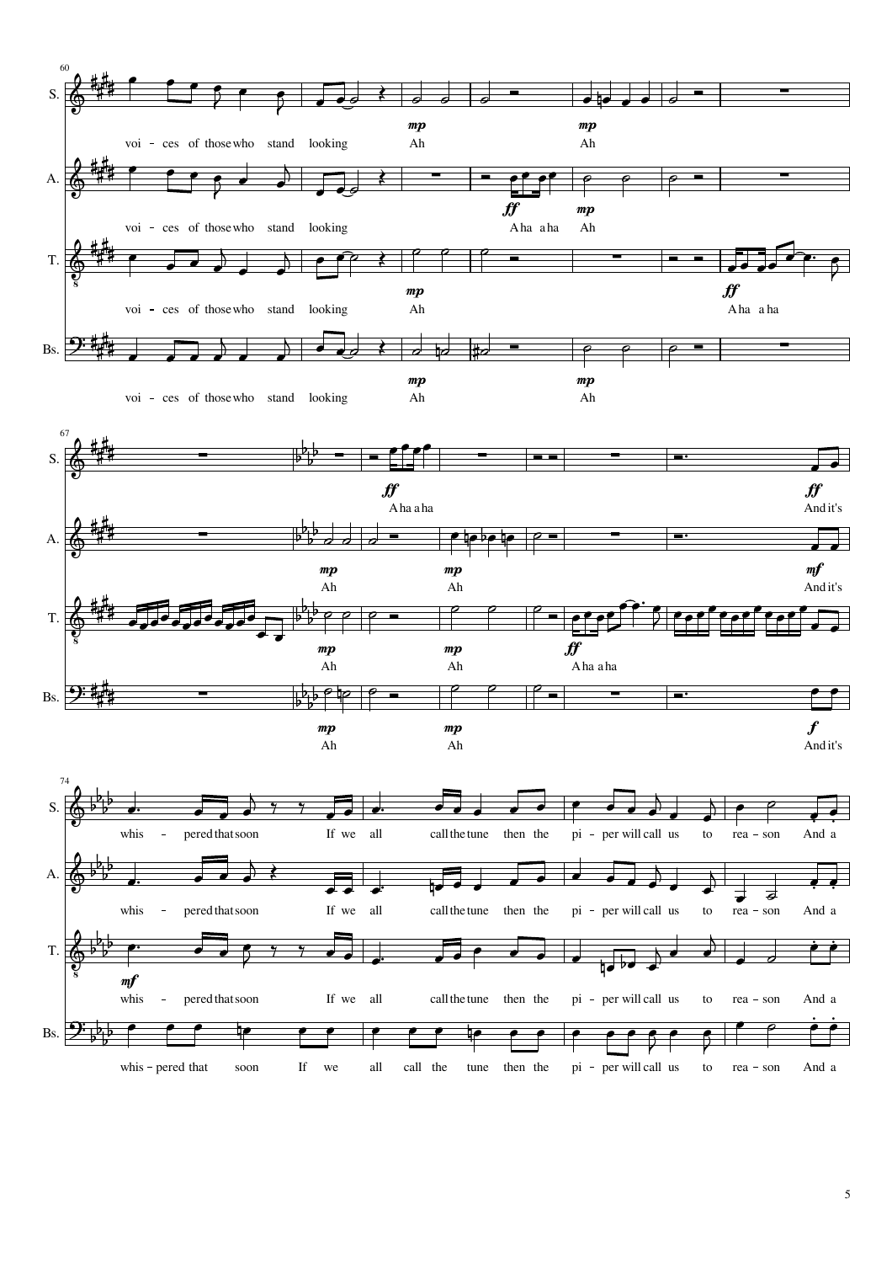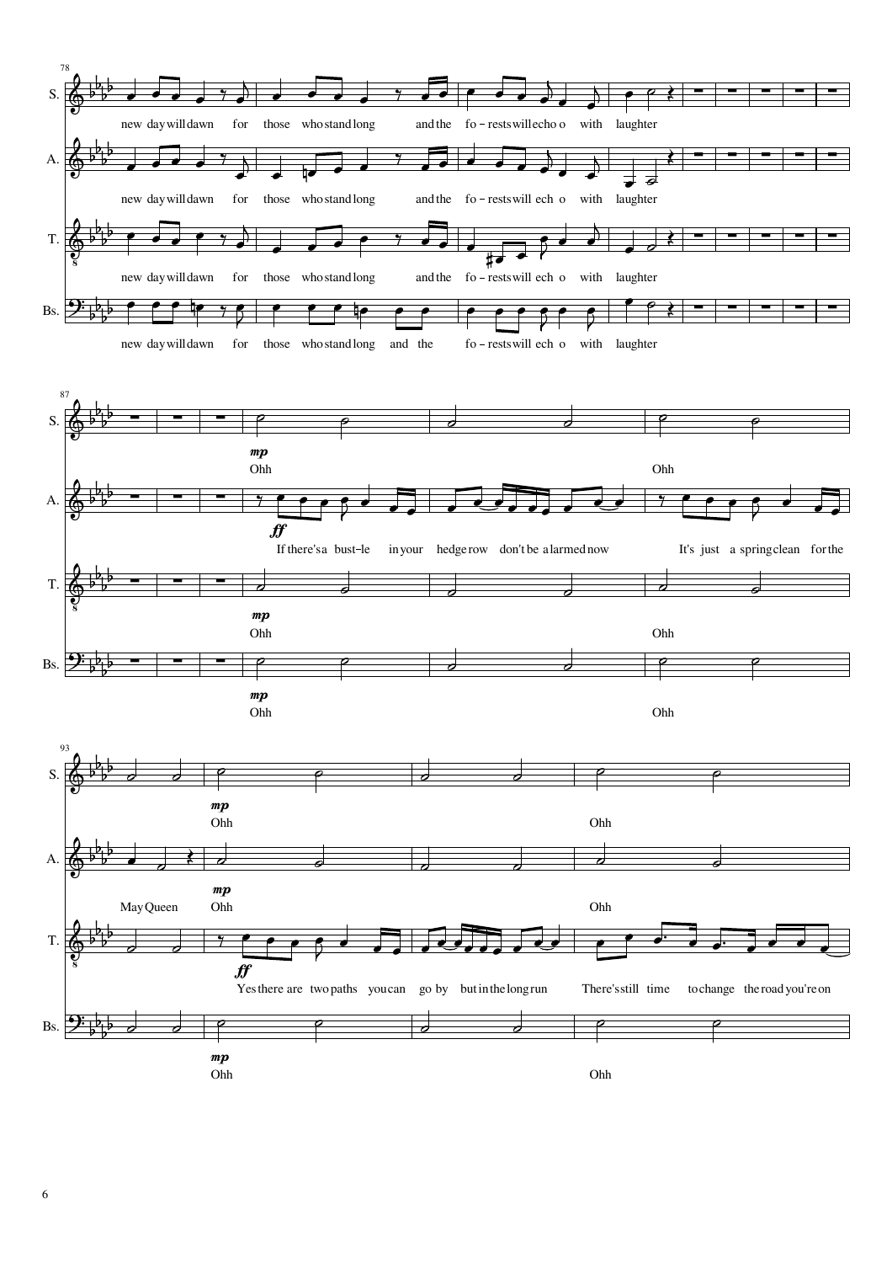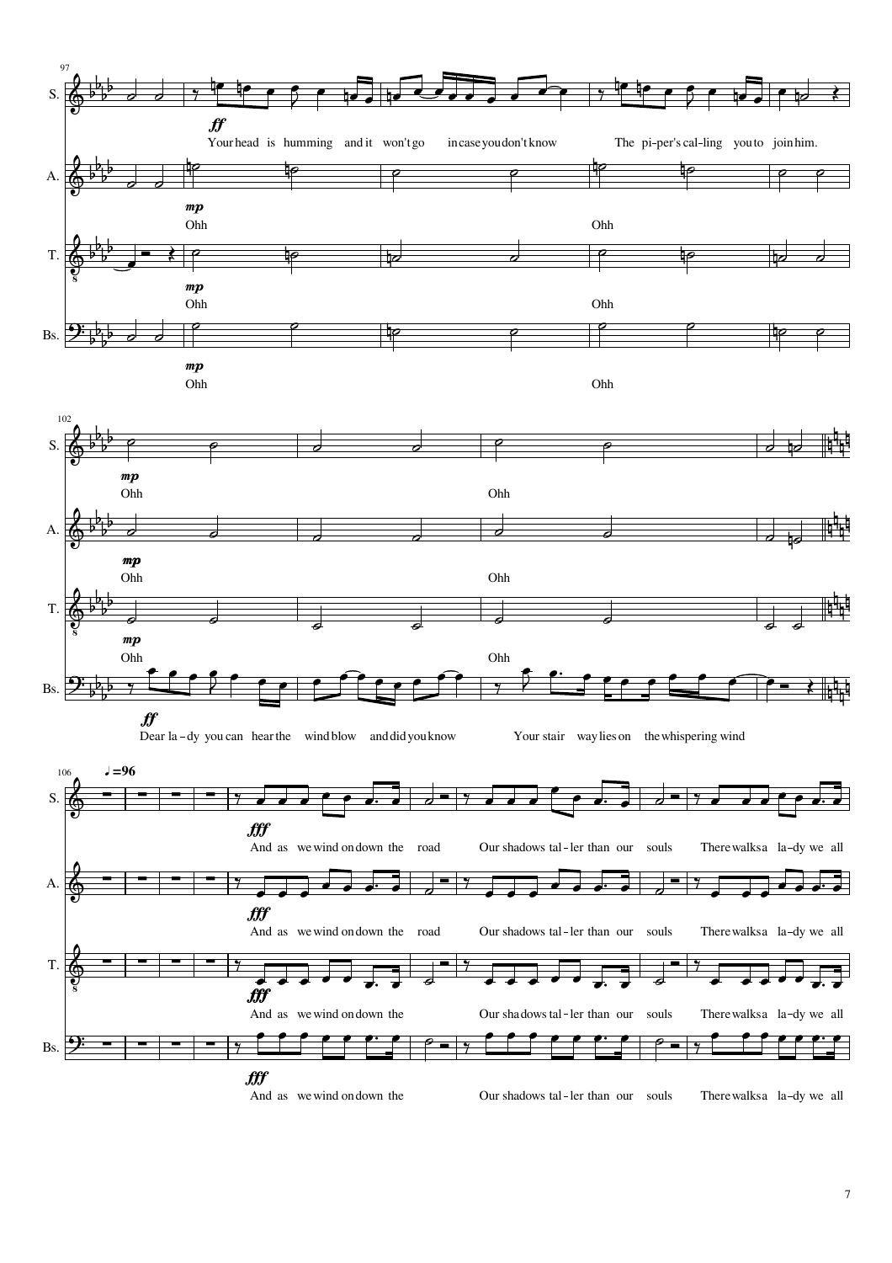